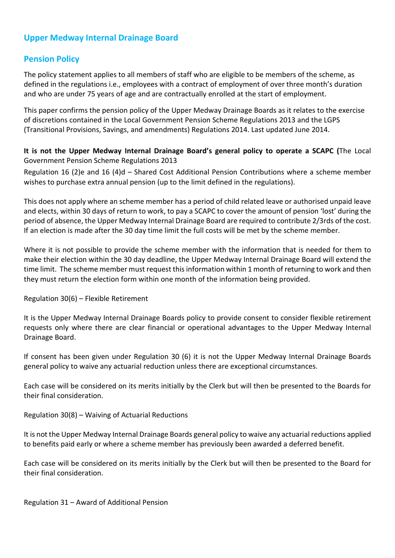# **Upper Medway Internal Drainage Board**

## **Pension Policy**

The policy statement applies to all members of staff who are eligible to be members of the scheme, as defined in the regulations i.e., employees with a contract of employment of over three month's duration and who are under 75 years of age and are contractually enrolled at the start of employment.

This paper confirms the pension policy of the Upper Medway Drainage Boards as it relates to the exercise of discretions contained in the Local Government Pension Scheme Regulations 2013 and the LGPS (Transitional Provisions, Savings, and amendments) Regulations 2014. Last updated June 2014.

**It is not the Upper Medway Internal Drainage Board's general policy to operate a SCAPC (**The Local Government Pension Scheme Regulations 2013

Regulation 16 (2)e and 16 (4)d – Shared Cost Additional Pension Contributions where a scheme member wishes to purchase extra annual pension (up to the limit defined in the regulations).

This does not apply where an scheme member has a period of child related leave or authorised unpaid leave and elects, within 30 days of return to work, to pay a SCAPC to cover the amount of pension 'lost' during the period of absence, the Upper Medway Internal Drainage Board are required to contribute 2/3rds of the cost. If an election is made after the 30 day time limit the full costs will be met by the scheme member.

Where it is not possible to provide the scheme member with the information that is needed for them to make their election within the 30 day deadline, the Upper Medway Internal Drainage Board will extend the time limit. The scheme member must request this information within 1 month of returning to work and then they must return the election form within one month of the information being provided.

Regulation 30(6) – Flexible Retirement

It is the Upper Medway Internal Drainage Boards policy to provide consent to consider flexible retirement requests only where there are clear financial or operational advantages to the Upper Medway Internal Drainage Board.

If consent has been given under Regulation 30 (6) it is not the Upper Medway Internal Drainage Boards general policy to waive any actuarial reduction unless there are exceptional circumstances.

Each case will be considered on its merits initially by the Clerk but will then be presented to the Boards for their final consideration.

Regulation 30(8) – Waiving of Actuarial Reductions

It is not the Upper Medway Internal Drainage Boards general policy to waive any actuarial reductions applied to benefits paid early or where a scheme member has previously been awarded a deferred benefit.

Each case will be considered on its merits initially by the Clerk but will then be presented to the Board for their final consideration.

Regulation 31 – Award of Additional Pension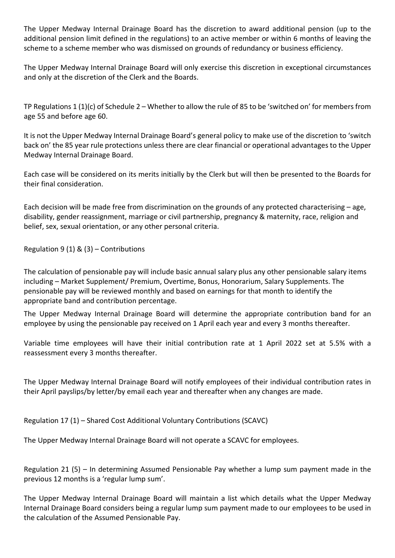The Upper Medway Internal Drainage Board has the discretion to award additional pension (up to the additional pension limit defined in the regulations) to an active member or within 6 months of leaving the scheme to a scheme member who was dismissed on grounds of redundancy or business efficiency.

The Upper Medway Internal Drainage Board will only exercise this discretion in exceptional circumstances and only at the discretion of the Clerk and the Boards.

TP Regulations 1 (1)(c) of Schedule 2 – Whether to allow the rule of 85 to be 'switched on' for members from age 55 and before age 60.

It is not the Upper Medway Internal Drainage Board's general policy to make use of the discretion to 'switch back on' the 85 year rule protections unless there are clear financial or operational advantages to the Upper Medway Internal Drainage Board.

Each case will be considered on its merits initially by the Clerk but will then be presented to the Boards for their final consideration.

Each decision will be made free from discrimination on the grounds of any protected characterising – age, disability, gender reassignment, marriage or civil partnership, pregnancy & maternity, race, religion and belief, sex, sexual orientation, or any other personal criteria.

Regulation 9 (1) & (3) – Contributions

The calculation of pensionable pay will include basic annual salary plus any other pensionable salary items including – Market Supplement/ Premium, Overtime, Bonus, Honorarium, Salary Supplements. The pensionable pay will be reviewed monthly and based on earnings for that month to identify the appropriate band and contribution percentage.

The Upper Medway Internal Drainage Board will determine the appropriate contribution band for an employee by using the pensionable pay received on 1 April each year and every 3 months thereafter.

Variable time employees will have their initial contribution rate at 1 April 2022 set at 5.5% with a reassessment every 3 months thereafter.

The Upper Medway Internal Drainage Board will notify employees of their individual contribution rates in their April payslips/by letter/by email each year and thereafter when any changes are made.

Regulation 17 (1) – Shared Cost Additional Voluntary Contributions (SCAVC)

The Upper Medway Internal Drainage Board will not operate a SCAVC for employees.

Regulation 21 (5) – In determining Assumed Pensionable Pay whether a lump sum payment made in the previous 12 months is a 'regular lump sum'.

The Upper Medway Internal Drainage Board will maintain a list which details what the Upper Medway Internal Drainage Board considers being a regular lump sum payment made to our employees to be used in the calculation of the Assumed Pensionable Pay.